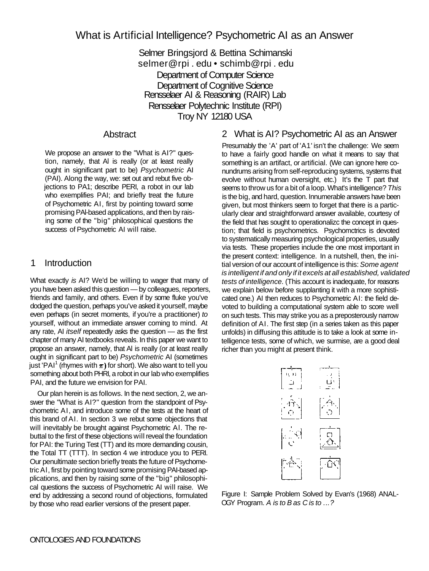# What is Artificial Intelligence? Psychometric AI as an Answer

Selmer Bringsjord & Bettina Schimanski selmer@rpi . edu • schimb@rpi . edu Department of Computer Science Department of Cognitive Science Rensselaer AI & Reasoning (RAIR) Lab Rensselaer Polytechnic Institute (RPI) Troy NY 12180 USA

#### Abstract

We propose an answer to the "What is AI?" question, namely, that Al is really (or at least really ought in significant part to be) *Psychometric* AI (PAI). Along the way, we: set out and rebut five objections to PA1; describe PERI, a robot in our lab who exemplifies PAI; and briefly treat the future of Psychometric AI, first by pointing toward some promising PAl-based applications, and then by raising some of the "big" philosophical questions the success of Psychometric AI will raise.

#### 1 Introduction

What exactly *is* AI? We'd be willing to wager that many of you have been asked this question — by colleagues, reporters, friends and family, and others. Even if by some fluke you've dodged the question, perhaps you've asked it yourself, maybe even perhaps (in secret moments, if you're a practitioner) *to*  yourself, without an immediate answer coming to mind. At any rate, AI *itself* repeatedly asks the question — as the first chapter of many AI textbooks reveals. In this paper we want to propose an answer, namely, that Al is really (or at least really ought in significant part to be) *Psychometric* AI (sometimes just 'PAI<sup>1</sup> (rhymes with  $\pi$ ) for short). We also want to tell you something about both PHRI, a robot in our lab who exemplifies PAI, and the future we envision for PAI.

Our plan herein is as follows. In the next section, 2, we answer the "What is AI?" question from the standpoint of Psychometric AI, and introduce some of the tests at the heart of this brand of AI. In section 3 we rebut some objections that will inevitably be brought against Psychometric AI. The rebuttal to the first of these objections will reveal the foundation for PAI: the Turing Test (TT) and its more demanding cousin, the Total TT (TTT). In section 4 we introduce you to PERI. Our penultimate section briefly treats the future of Psychometric Al, first by pointing toward some promising PAI-based applications, and then by raising some of the "big" philosophical questions the success of Psychometric AI will raise. We end by addressing a second round of objections, formulated by those who read earlier versions of the present paper.

## 2 What is AI? Psychometric AI as an Answer

Presumably the 'A' part of 'A1' isn't the challenge: We seem to have a fairly good handle on what it means to say that something is an artifact, or artificial. (We can ignore here conundrums arising from self-reproducing systems, systems that evolve without human oversight, etc.) It's the T part that seems to throw us for a bit of a loop. What's intelligence? *This*  is the big, and hard, question. Innumerable answers have been given, but most thinkers seem to forget that there is a particularly clear and straightforward answer available, courtesy of the field that has sought to operationalizc the concept in question; that field is psychometrics. Psychomctrics is devoted to systematically measuring psychological properties, usually via tests. These properties include the one most important in the present context: intelligence. In a nutshell, then, the initial version of our account of intelligence is this: *Some agent is intelligent if and only if it excels at all established, validated tests of intelligence.* (This account is inadequate, for reasons we explain below before supplanting it with a more sophisticated one.) AI then reduces to Psychometric AI: the field devoted to building a computational system able to score well on such tests. This may strike you as a preposterously narrow definition of AI. The first step (in a series taken as this paper unfolds) in diffusing this attitude is to take a look at some intelligence tests, some of which, we surmise, are a good deal richer than you might at present think.



Figure I: Sample Problem Solved by Evan's (1968) ANAL-OGY Program. *A is to B as C is to* ..*.?*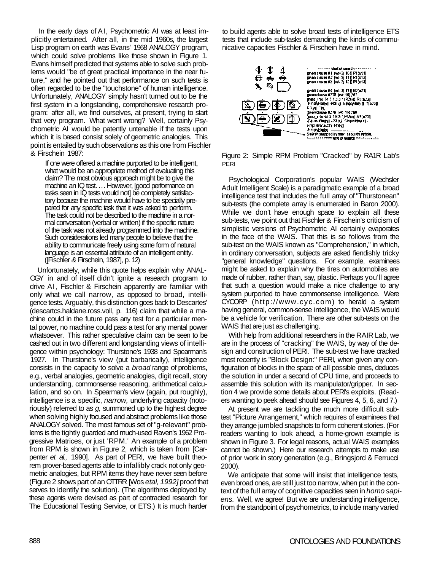In the early days of AI, Psychometric AI was at least implicitly entertained. After all, in the mid 1960s, the largest Lisp program on earth was Evans' 1968 ANALOGY program, which could solve problems like those shown in Figure 1. Evans himself predicted that systems able to solve such problems would "be of great practical importance in the near future," and he pointed out that performance on such tests is often regarded to be the "touchstone" of human intelligence. Unfortunately, ANALOGY simply hasn't turned out to be the first system in a longstanding, comprehensive research program: after all, we find ourselves, at present, trying to start that very program. What went wrong? Well, certainly Psychometric AI would be patently untenable if the tests upon which it is based consist solely of geometric analogies. This point is entailed by such observations as this one from Fischler & Firschein 1987:

If one were offered a machine purported to be intelligent, what would be an appropriate method of evaluating this claim? The most obvious approach might be to give the machine an IQ test. ... However, [good performance on tasks seen in IQ tests would not] be completely satisfactory because the machine would have to be specially prepared for any specific task that it was asked to perform. The task could not be described to the machine in a normal conversation (verbal or written) if the specific nature of the task was not already programmed into the machine. Such considerations led many people to believe that the ability to communicate freely using some form of natural language is an essential attribute of an intelligent entity. ([Fischler *&* Firschein, 1987], p. 12)

Unfortunately, while this quote helps explain why ANAL-OGY in and of itself didn't ignite a research program to drive AI, Fischler & Firschein apparently are familiar with only what we call narrow, as opposed to broad, intelligence tests. Arguably, this distinction goes back to Descartes' (descartcs.haldane.ross.voll, p. 116) claim that while a machine could in the future pass any test for a particular mental power, no machine could pass a test for any mental power whatsoever. This rather speculative claim can be seen to be cashed out in two different and longstanding views of intelligence within psychology: Thurstone's 1938 and Spearman's 1927. In Thurstone's view (put barbarically), intelligence consists in the capacity to solve a *broad* range of problems, e.g., verbal analogies, geometric analogies, digit recall, story understanding, commonsense reasoning, arithmetical calculation, and so on. In Spearman's view (again, put roughly), intelligence is a specific, *narrow,* underlying capacity (notoriously) referred to as *g,* summoned up to the highest degree when solving highly focused and abstract problems like those ANALOGY solved. The most famous set of "g-relevant" problems is the tightly guarded and much-used Raven's 1962 Progressive Matrices, or just 'RPM.' An example of a problem from RPM is shown in Figure 2, which is taken from [Carpenter *et al.,* 1990]. As part of PERI, we have built theorem prover-based agents able to infallibly crack not only geometric analogies, but RPM items they have never seen before (Figure 2 shows part of an OTTRR [Wos *etal, 1992]* proof that serves to identify the solution). (The algorithms deployed by these agents were devised as part of contracted research for The Educational Testing Service, or ETS.) It is much harder

to build agents able to solve broad tests of intelligence ETS tests that include sub-tasks demanding the kinds of communicative capacities Fischler & Firschein have in mind.



Figure 2: Simple RPM Problem "Cracked" by RA1R Lab's PERI

Psychological Corporation's popular WAIS (Wechsler Adult Intelligent Scale) is a paradigmatic example of a broad intelligence test that includes the full array of "Thurstonean" sub-tests (the complete array is enumerated in Baron 2000). While we don't have enough space to explain all these sub-tests, we point out that Fischler & Firschein's criticism of simplistic versions of Psychometric AI certainly evaporates in the face of the WAIS. That this is so follows from the sub-test on the WAIS known as "Comprehension," in which, in ordinary conversation, subjects are asked fiendishly tricky "general knowledge" questions. For example, examinees might be asked to explain why the tires on automobiles are made of rubber, rather than, say, plastic. Perhaps you'll agree that such a question would make a nice challenge to any system purported to have commonsense intelligence. Were CYCORP (http://www.cyc.com) to herald a system having general, common-sense intelligence, the WAIS would be a vehicle for verification. There are other sub-tests on the WAIS that are just as challenging.

With help from additional researchers in the RAIR Lab, we are in the process of "cracking" the WAIS, by way of the design and construction of PERI. The sub-test we have cracked most recently is "Block Design:" PERI, when given any configuration of blocks in the space of all possible ones, deduces the solution in under a second of CPU time, and proceeds to assemble this solution with its manipulator/gripper. In section 4 we provide some details about PERl's exploits. (Readers wanting to peek ahead should see Figures 4, 5, 6, and 7.)

At present we are tackling the much more difficult subtest "Picture Arrangement," which requires of examinees that they arrange jumbled snapshots to form coherent stories. (For readers wanting to look ahead, a home-grown example is shown in Figure 3. For legal reasons, actual WAIS examples cannot be shown.) Here our research attempts to make use of prior work in story generation (e.g., Bringsjord & Ferrucci 2000).

We anticipate that some will insist that intelligence tests, even broad ones, are still just too narrow, when put in the context of the full array of cognitive capacities seen in *homo sapiens.* Well, we agree! But we are understanding intelligence, from the standpoint of psychometrics, to include many varied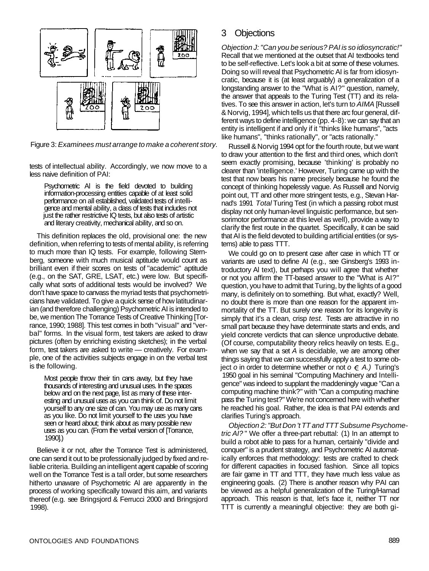

Figure 3: *Examinees must arrange to make a coherent story.* 

tests of intellectual ability. Accordingly, we now move to a less naive definition of PAI:

Psychometric Al is the field devoted to building information-processing entities capable of at least solid performance on all established, validated tests of intelligence and mental ability, a class of tests that includes not just the rather restrictive IQ tests, but also tests of artistic and literary creativity, mechanical ability, and so on.

This definition replaces the old, provisional one: the new definition, when referring to tests of mental ability, is referring to much more than IQ tests. For example, following Sternberg, someone with much musical aptitude would count as brilliant even if their scores on tests of "academic" aptitude (e.g., on the SAT, GRE, LSAT, etc.) were low. But specifically what sorts of additional tests would be involved? We don't have space to canvass the myriad tests that psychometricians have validated. To give a quick sense of how latitudinarian (and therefore challenging) Psychometric AI is intended to be, we mention The Torrance Tests of Creative Thinking [Torrance, 1990; 1988]. This test comes in both "visual" and "verbal" forms. In the visual form, test takers are asked to draw pictures (often by enriching existing sketches); in the verbal form, test takers are asked to write — creatively. For example, one of the activities subjects engage in on the verbal test is the following.

Most people throw their tin cans away, but they have thousands of interesting and unusual uses. In the spaces below and on the next page, list as many of these interesting and unusual uses as you can think of. Do not limit yourself to any one size of can. You may use as many cans as you like. Do not limit yourself to the uses you have seen or heard about; think about as many possible new uses as you can. (From the verbal version of [Torrance, 1990].)

Believe it or not, after the Torrance Test is administered, one can send it out to be professionally judged by fixed and reliable criteria. Building an intelligent agent capable of scoring well on the Torrance Test is a tall order, but some researchers hitherto unaware of Psychometric Al are apparently in the process of working specifically toward this aim, and variants thereof (e.g. see Bringsjord & Ferrucci 2000 and Bringsjord 1998).

#### 3 Objections

*Objection J: "Can you be serious? PAI is so idiosyncratic!"*  Recall that we mentioned at the outset that AI textbooks tend to be self-reflective. Let's look a bit at some of these volumes. Doing so will reveal that Psychometric AI is far from idiosyncratic, because it is (at least arguably) a generalization of a longstanding answer to the "What is AI?" question, namely, the answer that appeals to the Turing Test (TT) and its relatives. To see this answer in action, let's turn t*o AIMA* [Russell & Norvig, 1994], which tells us that there arc four general, different ways to define intelligence (pp. 4-8): we can say that an entity is intelligent if and only if it "thinks like humans", "acts like humans", "thinks rationally", or "acts rationally."

Russell & Norvig 1994 opt for the fourth route, but we want to draw your attention to the first and third ones, which don't seem exactly promising, because 'thinking' is probably no clearer than 'intelligence.' However, Turing came up with the test that now bears his name precisely because he found the concept of thinking hopelessly vague. As Russell and Norvig point out, TT and other more stringent tests, e.g., Stevan Harnad's 1991 *Total* Turing Test (in which a passing robot must display not only human-level linguistic performance, but sensorimotor performance at this level as well), provide a way to clarify the first route in the quartet. Specifically, it can be said that AI is the field devoted to building artificial entities (or systems) able to pass TTT.

We could go on to present case after case in which TT or variants are used to define AI (e.g., see Ginsberg's 1993 introductory Al text), but perhaps you will agree that whether or not you affirm the TT-based answer to the "What is AI?" question, you have to admit that Turing, by the lights of a good many, is definitely on to something. But what, exactly? Well, no doubt there is more than one reason for the apparent immortality of the TT. But surely one reason for its longevity is simply that it's a clean, crisp *test.* Tests are attractive in no small part because they have determinate starts and ends, and yield concrete verdicts that can silence unproductive debate. (Of course, computability theory relics heavily on tests. E.g., when we say that a set *A* is decidable, we are among other things saying that we can successfully apply a test to some object *o* in order to determine whether or not  $o \in A$ .) Turing's 1950 goal in his seminal "Computing Machinery and Intelligence" was indeed to supplant the maddeningly vague "Can a computing machine think?" with "Can a computing machine pass the Turing test?" We're not concerned here with whether he reached his goal. Rather, the idea is that PAI extends and clarifies Turing's approach.

*Objection 2: "But Don 't TT and TTT Subsume Psychometric AI?* " We offer a three-part rebuttal: (1) In an attempt to build a robot able to pass for a human, certainly "divide and conquer" is a prudent strategy, and Psychometric AI automatically enforces that methodology: tests are crafted to check for different capacities in focused fashion. Since all topics are fair game in TT and TTT, they have much less value as engineering goals. (2) There is another reason why PAI can be viewed as a helpful generalization of the Turing/Harnad approach. This reason is that, let's face it, neither TT nor TTT is currently a meaningful objective: they are both gi-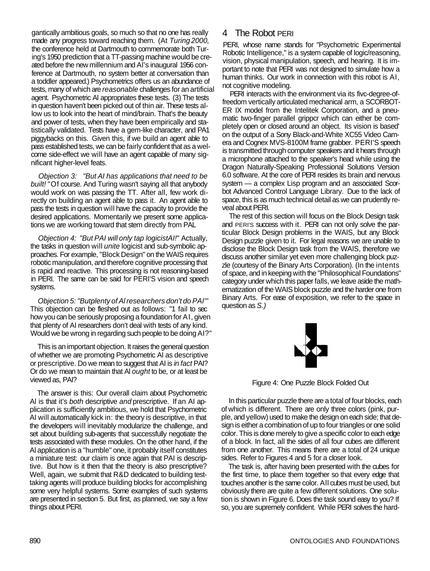gantically ambitious goals, so much so that no one has really made any progress toward reaching them. (At *Turing 2000,*  the conference held at Dartmouth to commemorate both Turing's 1950 prediction that a TT-passing machine would be created before the new millennium and Al's inaugural 1956 conference at Dartmouth, no system better at conversation than a toddler appeared.) Psychometrics offers us an abundance of tests, many of which are *reasonable* challenges for an artificial agent. Psychometric Al appropriates these tests. (3) The tests in question haven't been picked out of thin air. These tests allow us to look into the heart of mind/brain. That's the beauty and power of tests, when they have been empirically and statistically validated. Tests have a gem-like character, and PA1 piggybacks on this. Given this, if we build an agent able to pass established tests, we can be fairly confident that as a welcome side-effect we will have an agent capable of many significant higher-level feats.

*Objection 3: "But AI has applications that need to be built!* "Of course. And Turing wasn't saying all that anybody would work on was passing the TT. After all, few work directly on building an agent able to pass it. An agent able to pass the tests in question will have the capacity to provide the desired applications. Momentarily we present some applications we are working toward that stem directly from PAL

*Objection 4: "But PAI will only tap logicistAI!*" Actually, the tasks in question will *unite* logicist and sub-symbolic approaches. For example, "Block Design" on the WAIS requires robotic manipulation, and therefore cognitive processing that is rapid and reactive. This processing is not reasoning-based in PERI. The same can be said for PERI'S vision and speech systems.

*Objection 5: "Butplenty of Al researchers don't do PAI'"*  This objection can be fleshed out as follows: "1 fail to sec how you can be seriously proposing a foundation for AI, given that plenty of AI researchers don't deal with tests of any kind. Would we be wrong in regarding such people to be doing AI?"

This is an important objection. It raises the general question of whether we are promoting Psychometric AI as descriptive or prescriptive. Do we mean to suggest that AI is *in fact* PAI? Or do we mean to maintain that Al *ought* to be, or at least be viewed as, PAI?

The answer is this: Our overall claim about Psychometric Al is that it's *both* descriptive *and* prescriptive. If an AI application is sufficiently ambitious, we hold that Psychometric AI will automatically kick in: the theory is descriptive, in that the developers will inevitably modularize the challenge, and set about building sub-agents that successfully negotiate the tests associated with these modules. On the other hand, if the Al application is a "humble" one, it probably itself constitutes a miniature test: our claim is once again that PAI is descriptive. But how is it then that the theory is also prescriptive? Well, again, we submit that R&D dedicated to building testtaking agents will produce building blocks for accomplishing some very helpful systems. Some examples of such systems are presented in section 5. But first, as planned, we say a few things about PERI.

## 4 The Robot PERI

PERI, whose name stands for "Psychometric Experimental Robotic Intelligence," is a system capable of logic/reasoning, vision, physical manipulation, speech, and hearing. It is important to note that PERI was not designed to simulate how a human thinks. Our work in connection with this robot is AI, not cognitive modeling.

PERI interacts with the environment via its fivc-degree-offreedom vertically articulated mechanical arm, a SCORBOT-ER IX model from the Intelitek Corporation, and a pneumatic two-finger parallel grippcr which can either be completely open or closed around an object. Its vision is based' on the output of a Sony Black-and-White XC55 Video Camera and Cognex MVS-8100M frame grabber. PERI'S speech is transmitted through computer speakers and it hears through a microphone attached to the speaker's head while using the Dragon Naturally-Speaking Professional Solutions Version 6.0 software. At the core of PERI resides its brain and nervous system — a complex Lisp program and an associated Scorbot Advanced Control Language Library. Due to the lack of space, this is as much technical detail as we can prudently reveal about PERI.

The rest of this section will focus on the Block Design task and PERI'S success with it. PERI can not only solve the particular Block Design problems in the WAIS, but any Block Design puzzle given to it. For legal reasons we are unable to disclose the Block Design task from the WAIS, therefore we discuss another similar yet even more challenging block puzzle (courtesy of the Binary Arts Corporation). (In the intents of space, and in keeping with the "Philosophical Foundations" category under which this paper falls, we leave aside the mathematization of the WAIS block puzzle and the harder one from Binary Arts. For ease of exposition, we refer to the space in question as *S.)* 



Figure 4: One Puzzle Block Folded Out

In this particular puzzle there are a total of four blocks, each of which is different. There are only three colors (pink, purple, and yellow) used to make the design on each side; that design is either a combination of up to four triangles or one solid color. This is done merely to give a specific color to each edge of a block. In fact, all the sides of all four cubes are different from one another. This means there are a total of 24 unique sides. Refer to Figures 4 and 5 for a closer look.

The task is, after having been presented with the cubes for the first time, to place them together so that every edge that touches another is the same color. All cubes must be used, but obviously there are quite a few different solutions. One solution is shown in Figure 6. Does the task sound easy to you? If so, you are supremely confident. While PERI solves the hard-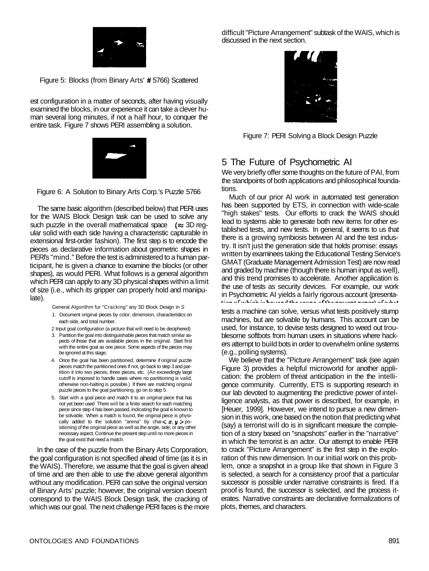

Figure 5: Blocks (from Binary Arts' # 5766) Scattered

est configuration in a matter of seconds, after having visually examined the blocks, in our experience it can take a clever human several long minutes, if not a half hour, to conquer the entire task. Figure 7 shows PERI assembling a solution.



Figure 6: A Solution to Binary Arts Corp.'s Puzzle 5766

The same basic algorithm (described below) that PERI uses for the WAIS Block Design task can be used to solve any such puzzle in the overall mathematical space  $(\approx 3D \text{ reg}-1)$ ular solid with each side having a characteristic capturable in extensional first-order fashion). The first step is to encode the pieces as declarative information about geometric shapes in PERl's "mind." Before the test is administered to a human participant, he is given a chance to examine the blocks (or other shapes), as would PERI. What follows is a general algorithm which PERI can apply to any 3D physical shapes within a limit of size (i.e., which its gripper can properly hold and manipulate).

General Algorithm fur "Cracking" any 3D Block Design in *S* 

- 1. Document original pieces by color, dimension, characteristics on each side, and total number.
- 2 Input goal configuration (a picture that will need to be deciphered)
- 3. Partition the goal into distinguishable pieces that match similar aspects of those that are available pieces in the original. Start first with the entire goal as one piece. Some aspects of the pieces may be ignored at this stage.
- 4. Once the goal has been partitioned, determine if original puzzle pieces match the partitioned ones If not, go back to step 3 and partition it into two pieces, three pieces, etc. (An exceedingly large cutoff is imposed to handle cases where no partitioning is valid, otherwise non-halting is possible.) If there are matching original puzzle pieces to the goal partitioning, go on to step 5.
- 5. Start with a goal piece and match it to an original piece that has not yet been used There will be a finite search for each matching piece since step 4 has been passed, indicating the goal is known to be solvable. When a match is found, the onginal piece is physically added to the solution "arena" by char $\langle x, y \rangle$  positioning of the onginal piece as well as the angle, side, or any other necessary aspect. Continue the present step until no more pieces in the goal exist that need a match.

In the case of the puzzle from the Binary Arts Corporation, the goal configuration is not specified ahead of time (as it is in the WAIS). Therefore, we assume that the goal is given ahead of time and are then able to use the above general algorithm without any modification. PERI can solve the original version of Binary Arts' puzzle; however, the original version doesn't correspond to the WAIS Block Design task, the cracking of which was our goal. The next challenge PERI faces is the more difficult "Picture Arrangement" subtask of the WAIS, which is discussed in the next section.



Figure 7: PERI Solving a Block Design Puzzle

## 5 The Future of Psychometric AI

We very briefly offer some thoughts on the future of PAI, from the standpoints of both applications and philosophical foundations.

Much of our prior Al work in automated test generation has been supported by ETS, in connection with wide-scale "high stakes" tests. Our efforts to crack the WAIS should lead to systems able to generate both new items for other established tests, and new tests. In general, it seems to us that there is a growing symbiosis between AI and the test industry. It isn't just the generation side that holds promise: essays written by examinees taking the Educational Testing Service's GMAT (Graduate Management Admission Test) are now read and graded by machine (though there is human input as well), and this trend promises to accelerate. Another application is the use of tests as security devices. For example, our work in Psychometric AI yields a fairly rigorous account (presenta-<br>tine of which in hoursel the season of the expression of what

tests a machine can solve, versus what tests positively stump machines, but are solvable by humans. This account can be used, for instance, to devise tests designed to weed out troublesome softbots from human users in situations where hackers attempt to build bots in order to overwhelm online systems (e.g., polling systems).

We believe that the "Picture Arrangement" task (see again Figure 3) provides a helpful microworld for another application: the problem of threat anticipation in the the intelligence community. Currently, ETS is supporting research in our lab devoted to augmenting the predictive power of intelligence analysts, as that power is described, for example, in [Heuer, 1999]. However, we intend to pursue a new dimension in this work, one based on the notion that predicting what (say) a terrorist will do is in significant measure the completion of a story based on "snapshots" earlier in the "narrative" in which the terrorist is an actor. Our attempt to enable PERI to crack "Picture Arrangement" is the first step in the exploration of this new dimension. In our initial work on this problem, once a snapshot in a group like that shown in Figure 3 is selected, a search for a consistency proof that a particular successor is possible under narrative constraints is fired. If a proof is found, the successor is selected, and the process iterates. Narrative constraints are declarative formalizations of plots, themes, and characters.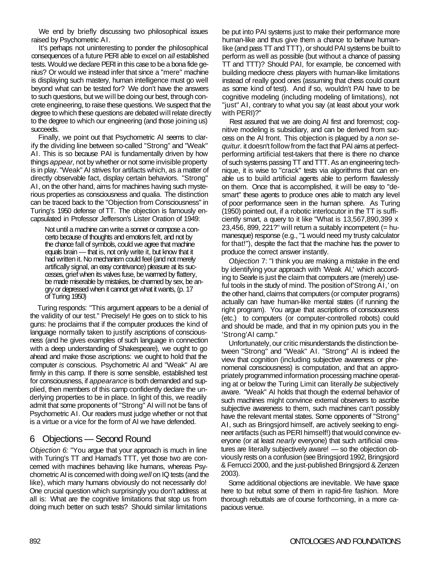We end by briefly discussing two philosophical issues raised by Psychometric AI.

It's perhaps not uninteresting to ponder the philosophical consequences of a future PERI able to excel on *all* established tests. Would we declare PERI in this case to be a bona fide genius? Or would we instead infer that since a "mere" machine is displaying such mastery, human intelligence must go well beyond what can be tested for? We don't have the answers to such questions, but we will be doing our best, through concrete engineering, to raise these questions. We suspect that the degree to which these questions are debated will relate directly to the degree to which our engineering (and those joining us) succeeds.

Finally, we point out that Psychometric AI seems to clarify the dividing line between so-called "Strong" and "Weak" AI. This is so because PAI is fundamentally driven by how things *appear,* not by whether or not some invisible property is in play. "Weak" AI strives for artifacts which, as a matter of directly observable fact, display certain behaviors. "Strong" AI, on the other hand, aims for machines having such mysterious properties as consciousness and qualia. The distinction can be traced back to the "Objection from Consciousness" in Turing's 1950 defense of TT. The objection is famously encapsulated in Professor Jefferson's Lister Oration of 1949:

Not until a machine can write a sonnet or compose a concerto because of thoughts and emotions felt, and not by the chance fall of symbols, could we agree that machine equals brain — that is, not only write it, but know that it had written it. No mechanism could feel (and not merely artifically signal, an easy contrivance) pleasure at its successes, grief when its valves fuse, be warmed by flattery, be made miserable by mistakes, be charmed by sex, be angry or depressed when it cannot get what it wants, (p. 17 of Turing 1950)

Turing responds: "This argument appears to be a denial of the validity of our test." Precisely! He goes on to stick to his guns: he proclaims that if the computer produces the kind of language normally taken to justify ascriptions of consciousness (and he gives examples of such language in connection with a deep understanding of Shakespeare), we ought to go ahead and make those ascriptions: we ought to hold that the computer *is* conscious. Psychometric AI and "Weak" AI are firmly in this camp. If there is some sensible, established test for consciousness, if *appearance* is both demanded and supplied, then members of this camp confidently declare the underlying properties to be in place. In light of this, we readily admit that some proponents of "Strong" AI will not be fans of Psychometric AI. Our readers must judge whether or not that is a virtue or a vice for the form of AI we have defended.

## 6 Objections — Second Round

*Objection 6:* "You argue that your approach is much in line with Turing's TT and Hamad's TTT, yet those two are concerned with machines behaving like humans, whereas Psychometric AI is concerned with doing *well* on IQ tests (and the like), which many humans obviously do not necessarily do! One crucial question which surprisingly you don't address at all is: What are the cognitive limitations that stop us from doing much better on such tests? Should similar limitations

be put into PAI systems just to make their performance more human-like and thus give them a chance to behave humanlike (and pass TT and TTT), or should PAI systems be built to perform as well as possible (but without a chance of passing TT and TTT)? Should PAI, for example, be concerned with building mediocre chess players with human-like limitations instead of really good ones (assuming that chess could count as some kind of test). And if so, wouldn't PAI have to be cognitive modeling (including modeling of limitations), not "just" AI, contrary to what you say (at least about your work with PERI)?"

Rest assured that we are doing AI first and foremost; cognitive modeling is subsidiary, and can be derived from success on the AI front. This objection is plagued by a *non sequitur.* it doesn't follow from the fact that PAI aims at perfectperforming artificial test-takers that there is there no chance of such systems passing TT and TTT. As an engineering technique, it is wise to "crack" tests via algorithms that can enable us to build artificial agents able to perform flawlessly on them. Once that is accomplished, it will be easy to "desmart" these agents to produce ones able to match any level of poor performance seen in the human sphere. As Turing (1950) pointed out, if a robotic interlocutor in the TT is sufficiently smart, a query to it like "What is 13,567,890,399 x  $23,456, 899, 221$ ?" will return a suitably incompetent (= humanesque) response (e.g., "1 would need my trusty calculator for that!"), despite the fact that the machine has the power to produce the correct answer instantly.

*Objection* 7: "I think you are making a mistake in the end by identifying your approach with 'Weak AI,' which according to Searle is just the claim that computers are (merely) useful tools in the study of mind. The position of'Strong AI,' on the other hand, claims that computers (or computer programs) actually can have human-like mental states (if running the right program). You argue that ascriptions of consciousness (etc.) to computers (or computer-controlled robots) could and should be made, and that in my opinion puts you in the 'Strong'AI camp."

Unfortunately, our critic misunderstands the distinction between "Strong" and "Weak" AI. "Strong" AI is indeed the view that cognition (including subjective awareness or phenomenal consciousness) is computation, and that an appropriately programmed information processing machine operating at or below the Turing Limit can literally *be* subjectively aware. "Weak" AI holds that though the external behavior of such machines might convince external observers to ascribe subjective awareness to them, such machines can't possibly have the relevant mental states. Some opponents of "Strong" AI, such as Bringsjord himself, are actively seeking to engineer artifacts (such as PERI himself!) that would convince everyone (or at least *nearly* everyone) that such artificial creatures are literally subjectively aware! — so the objection obviously rests on a confusion (see Bringsjord 1992, Bringsjord & Ferrucci 2000, and the just-published Bringsjord & Zenzen 2003).

Some additional objections are inevitable. We have space here to but rebut some of them in rapid-fire fashion. More thorough rebuttals are of course forthcoming, in a more capacious venue.